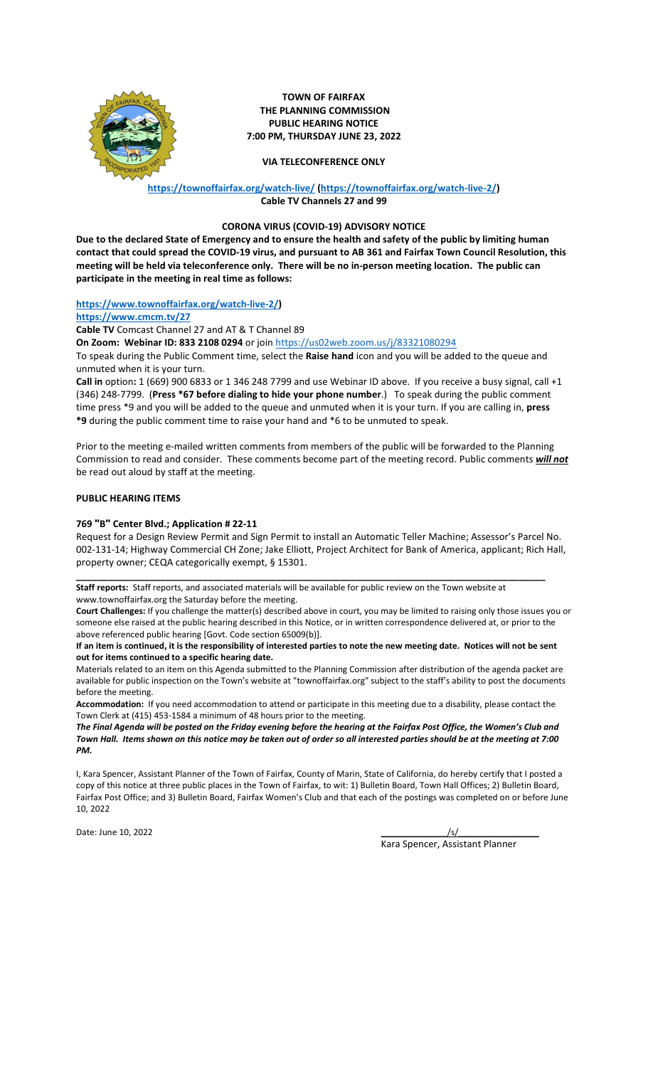

**TOWN OF FAIRFAX THE PLANNING COMMISSION PUBLIC HEARING NOTICE 7:00 PM, THURSDAY JUNE 23, 2022**

**VIA TELECONFERENCE ONLY**

## **<https://townoffairfax.org/watch-live/> [\(https://townoffairfax.org/watch-live-2/\)](https://townoffairfax.org/watch-live-2/) Cable TV Channels 27 and 99**

### **CORONA VIRUS (COVID-19) ADVISORY NOTICE**

**Due to the declared State of Emergency and to ensure the health and safety of the public by limiting human contact that could spread the COVID-19 virus, and pursuant to AB 361 and Fairfax Town Council Resolution, this meeting will be held via teleconference only. There will be no in-person meeting location. The public can participate in the meeting in real time as follows:**

# **[https://www.townoffairfax.org/watch-live-2/\)](https://www.townoffairfax.org/watch-live-2/)**

**<https://www.cmcm.tv/27>**

**Cable TV** Comcast Channel 27 and AT & T Channel 89

**On Zoom: Webinar ID: 833 2108 0294** or joi[n https://us02web.zoom.us/j/83321080294](https://us02web.zoom.us/j/83321080294)

To speak during the Public Comment time, select the **Raise hand** icon and you will be added to the queue and unmuted when it is your turn.

**Call in** option**:** 1 (669) 900 6833 or 1 346 248 7799 and use Webinar ID above. If you receive a busy signal, call +1 (346) 248-7799. (**Press \*67 before dialing to hide your phone number**.) To speak during the public comment time press \*9 and you will be added to the queue and unmuted when it is your turn. If you are calling in, **press \*9** during the public comment time to raise your hand and \*6 to be unmuted to speak.

Prior to the meeting e-mailed written comments from members of the public will be forwarded to the Planning Commission to read and consider. These comments become part of the meeting record. Public comments *will not* be read out aloud by staff at the meeting.

### **PUBLIC HEARING ITEMS**

## **769 "B" Center Blvd.; Application # 22-11**

Request for a Design Review Permit and Sign Permit to install an Automatic Teller Machine; Assessor's Parcel No. 002-131-14; Highway Commercial CH Zone; Jake Elliott, Project Architect for Bank of America, applicant; Rich Hall, property owner; CEQA categorically exempt, § 15301.

**\_\_\_\_\_\_\_\_\_\_\_\_\_\_\_\_\_\_\_\_\_\_\_\_\_\_\_\_\_\_\_\_\_\_\_\_\_\_\_\_\_\_\_\_\_\_\_\_\_\_\_\_\_\_\_\_\_\_\_\_\_\_\_\_\_\_\_\_\_\_\_\_\_\_\_\_\_\_\_\_\_\_\_\_\_\_\_\_\_ Staff reports:** Staff reports, and associated materials will be available for public review on the Town website at www.townoffairfax.org the Saturday before the meeting.

**Court Challenges:** If you challenge the matter(s) described above in court, you may be limited to raising only those issues you or someone else raised at the public hearing described in this Notice, or in written correspondence delivered at, or prior to the above referenced public hearing [Govt. Code section 65009(b)].

**If an item is continued, it is the responsibility of interested parties to note the new meeting date. Notices will not be sent out for items continued to a specific hearing date.** 

Materials related to an item on this Agenda submitted to the Planning Commission after distribution of the agenda packet are available for public inspection on the Town's website at "townoffairfax.org" subject to the staff's ability to post the documents before the meeting.

**Accommodation:** If you need accommodation to attend or participate in this meeting due to a disability, please contact the Town Clerk at (415) 453-1584 a minimum of 48 hours prior to the meeting.

*The Final Agenda will be posted on the Friday evening before the hearing at the Fairfax Post Office, the Women's Club and Town Hall. Items shown on this notice may be taken out of order so all interested parties should be at the meeting at 7:00 PM.*

I, Kara Spencer, Assistant Planner of the Town of Fairfax, County of Marin, State of California, do hereby certify that I posted a copy of this notice at three public places in the Town of Fairfax, to wit: 1) Bulletin Board, Town Hall Offices; 2) Bulletin Board, Fairfax Post Office; and 3) Bulletin Board, Fairfax Women's Club and that each of the postings was completed on or before June 10, 2022

Date: June 10, 2022 \_\_\_\_\_\_\_\_\_\_\_\_\_\_/s/\_\_\_\_\_\_\_\_\_\_\_\_\_\_\_\_\_

Kara Spencer, Assistant Planner